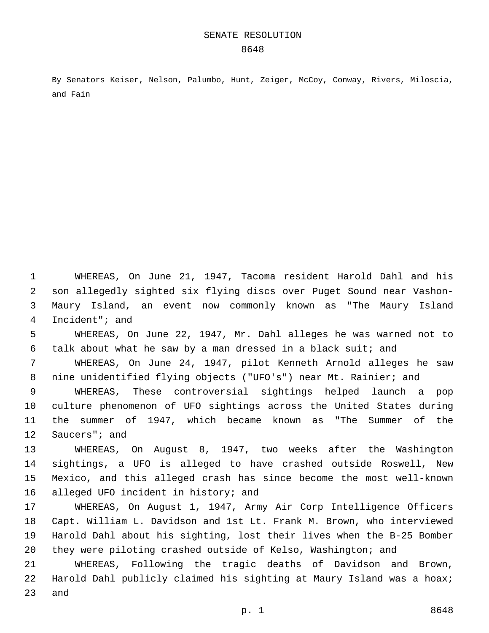By Senators Keiser, Nelson, Palumbo, Hunt, Zeiger, McCoy, Conway, Rivers, Miloscia, and Fain

 WHEREAS, On June 21, 1947, Tacoma resident Harold Dahl and his son allegedly sighted six flying discs over Puget Sound near Vashon- Maury Island, an event now commonly known as "The Maury Island 4 Incident"; and

 WHEREAS, On June 22, 1947, Mr. Dahl alleges he was warned not to talk about what he saw by a man dressed in a black suit; and

 WHEREAS, On June 24, 1947, pilot Kenneth Arnold alleges he saw nine unidentified flying objects ("UFO's") near Mt. Rainier; and

 WHEREAS, These controversial sightings helped launch a pop culture phenomenon of UFO sightings across the United States during the summer of 1947, which became known as "The Summer of the 12 Saucers"; and

 WHEREAS, On August 8, 1947, two weeks after the Washington sightings, a UFO is alleged to have crashed outside Roswell, New Mexico, and this alleged crash has since become the most well-known 16 alleged UFO incident in history; and

 WHEREAS, On August 1, 1947, Army Air Corp Intelligence Officers Capt. William L. Davidson and 1st Lt. Frank M. Brown, who interviewed Harold Dahl about his sighting, lost their lives when the B-25 Bomber they were piloting crashed outside of Kelso, Washington; and

 WHEREAS, Following the tragic deaths of Davidson and Brown, Harold Dahl publicly claimed his sighting at Maury Island was a hoax; 23 and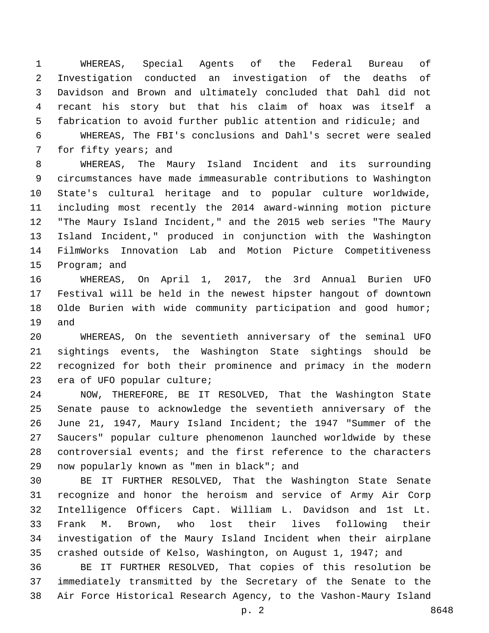WHEREAS, Special Agents of the Federal Bureau of Investigation conducted an investigation of the deaths of Davidson and Brown and ultimately concluded that Dahl did not recant his story but that his claim of hoax was itself a fabrication to avoid further public attention and ridicule; and

 WHEREAS, The FBI's conclusions and Dahl's secret were sealed 7 for fifty years; and

 WHEREAS, The Maury Island Incident and its surrounding circumstances have made immeasurable contributions to Washington State's cultural heritage and to popular culture worldwide, including most recently the 2014 award-winning motion picture "The Maury Island Incident," and the 2015 web series "The Maury Island Incident," produced in conjunction with the Washington FilmWorks Innovation Lab and Motion Picture Competitiveness 15 Program; and

 WHEREAS, On April 1, 2017, the 3rd Annual Burien UFO Festival will be held in the newest hipster hangout of downtown Olde Burien with wide community participation and good humor; 19 and

 WHEREAS, On the seventieth anniversary of the seminal UFO sightings events, the Washington State sightings should be recognized for both their prominence and primacy in the modern 23 era of UFO popular culture;

 NOW, THEREFORE, BE IT RESOLVED, That the Washington State Senate pause to acknowledge the seventieth anniversary of the June 21, 1947, Maury Island Incident; the 1947 "Summer of the Saucers" popular culture phenomenon launched worldwide by these controversial events; and the first reference to the characters 29 now popularly known as "men in black"; and

 BE IT FURTHER RESOLVED, That the Washington State Senate recognize and honor the heroism and service of Army Air Corp Intelligence Officers Capt. William L. Davidson and 1st Lt. Frank M. Brown, who lost their lives following their investigation of the Maury Island Incident when their airplane crashed outside of Kelso, Washington, on August 1, 1947; and

 BE IT FURTHER RESOLVED, That copies of this resolution be immediately transmitted by the Secretary of the Senate to the Air Force Historical Research Agency, to the Vashon-Maury Island

p. 2 8648